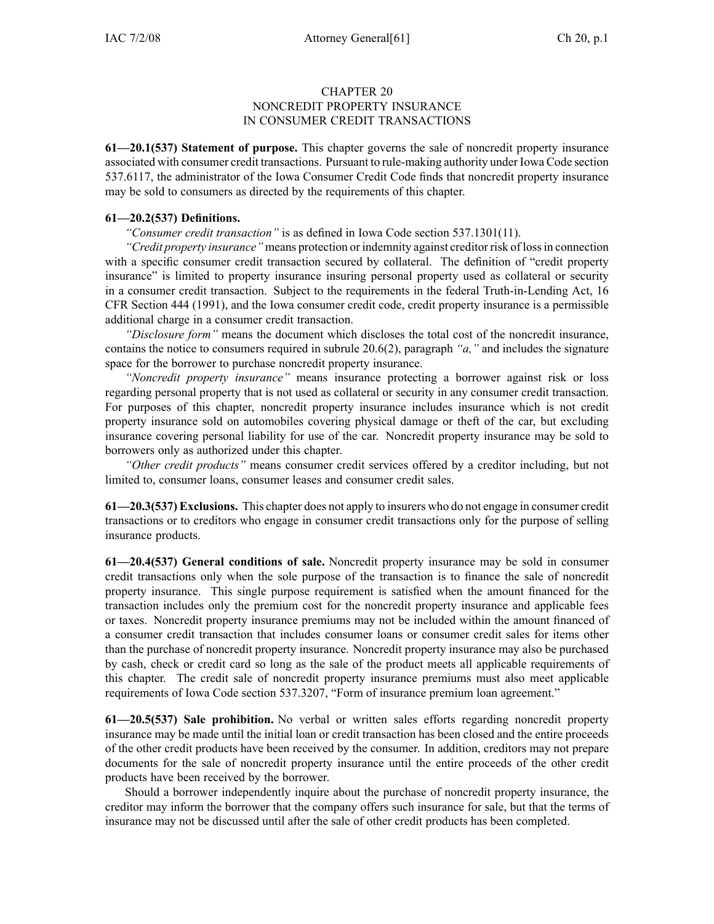## CHAPTER 20 NONCREDIT PROPERTY INSURANCE IN CONSUMER CREDIT TRANSACTIONS

**61—20.1(537) Statement of purpose.** This chapter governs the sale of noncredit property insurance associated with consumer credit transactions. Pursuant to rule-making authority under Iowa Code section 537.6117, the administrator of the Iowa Consumer Credit Code finds that noncredit property insurance may be sold to consumers as directed by the requirements of this chapter.

## **61—20.2(537) Definitions.**

*"Consumer credit transaction"* is as defined in Iowa Code section 537.1301(11).

*"Credit property insurance"* means protection or indemnity against creditor risk of lossin connection with <sup>a</sup> specific consumer credit transaction secured by collateral. The definition of "credit property insurance" is limited to property insurance insuring personal property used as collateral or security in <sup>a</sup> consumer credit transaction. Subject to the requirements in the federal Truth-in-Lending Act, 16 CFR Section 444 (1991), and the Iowa consumer credit code, credit property insurance is <sup>a</sup> permissible additional charge in <sup>a</sup> consumer credit transaction.

*"Disclosure form"* means the document which discloses the total cost of the noncredit insurance, contains the notice to consumers required in subrule 20.6(2), paragraph *"a,"* and includes the signature space for the borrower to purchase noncredit property insurance.

*"Noncredit property insurance"* means insurance protecting <sup>a</sup> borrower against risk or loss regarding personal property that is not used as collateral or security in any consumer credit transaction. For purposes of this chapter, noncredit property insurance includes insurance which is not credit property insurance sold on automobiles covering physical damage or theft of the car, but excluding insurance covering personal liability for use of the car. Noncredit property insurance may be sold to borrowers only as authorized under this chapter.

*"Other credit products"* means consumer credit services offered by <sup>a</sup> creditor including, but not limited to, consumer loans, consumer leases and consumer credit sales.

**61—20.3(537) Exclusions.** This chapter does not apply to insurers who do not engage in consumer credit transactions or to creditors who engage in consumer credit transactions only for the purpose of selling insurance products.

**61—20.4(537) General conditions of sale.** Noncredit property insurance may be sold in consumer credit transactions only when the sole purpose of the transaction is to finance the sale of noncredit property insurance. This single purpose requirement is satisfied when the amount financed for the transaction includes only the premium cost for the noncredit property insurance and applicable fees or taxes. Noncredit property insurance premiums may not be included within the amount financed of <sup>a</sup> consumer credit transaction that includes consumer loans or consumer credit sales for items other than the purchase of noncredit property insurance. Noncredit property insurance may also be purchased by cash, check or credit card so long as the sale of the product meets all applicable requirements of this chapter. The credit sale of noncredit property insurance premiums must also meet applicable requirements of Iowa Code section 537.3207, "Form of insurance premium loan agreement."

**61—20.5(537) Sale prohibition.** No verbal or written sales efforts regarding noncredit property insurance may be made until the initial loan or credit transaction has been closed and the entire proceeds of the other credit products have been received by the consumer. In addition, creditors may not prepare documents for the sale of noncredit property insurance until the entire proceeds of the other credit products have been received by the borrower.

Should <sup>a</sup> borrower independently inquire about the purchase of noncredit property insurance, the creditor may inform the borrower that the company offers such insurance for sale, but that the terms of insurance may not be discussed until after the sale of other credit products has been completed.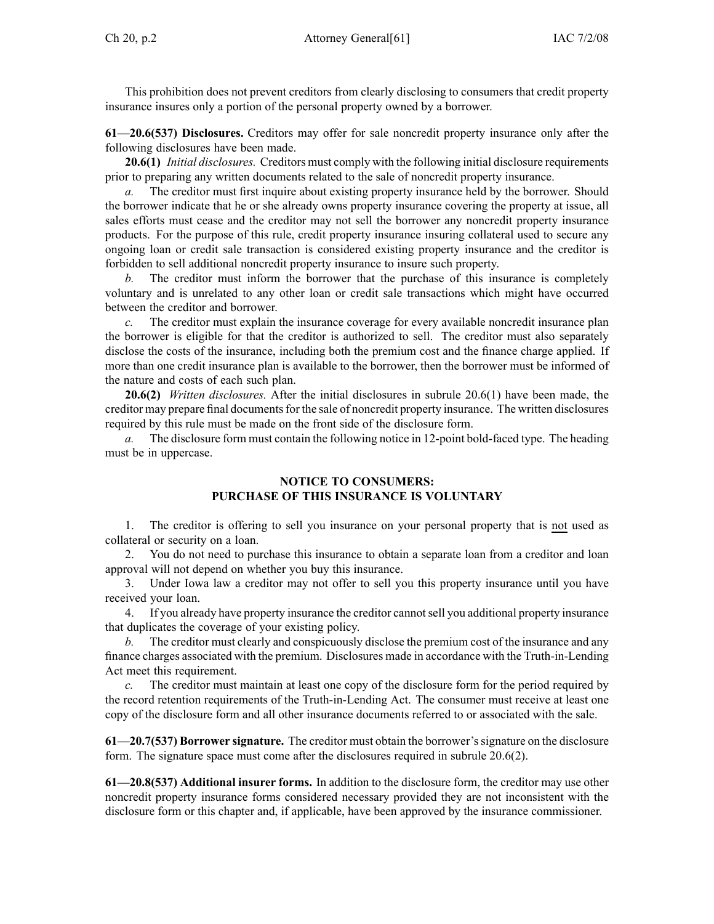This prohibition does not preven<sup>t</sup> creditors from clearly disclosing to consumers that credit property insurance insures only <sup>a</sup> portion of the personal property owned by <sup>a</sup> borrower.

**61—20.6(537) Disclosures.** Creditors may offer for sale noncredit property insurance only after the following disclosures have been made.

**20.6(1)** *Initial disclosures.* Creditors must comply with the following initial disclosure requirements prior to preparing any written documents related to the sale of noncredit property insurance.

*a.* The creditor must first inquire about existing property insurance held by the borrower. Should the borrower indicate that he or she already owns property insurance covering the property at issue, all sales efforts must cease and the creditor may not sell the borrower any noncredit property insurance products. For the purpose of this rule, credit property insurance insuring collateral used to secure any ongoing loan or credit sale transaction is considered existing property insurance and the creditor is forbidden to sell additional noncredit property insurance to insure such property.

*b.* The creditor must inform the borrower that the purchase of this insurance is completely voluntary and is unrelated to any other loan or credit sale transactions which might have occurred between the creditor and borrower.

*c.* The creditor must explain the insurance coverage for every available noncredit insurance plan the borrower is eligible for that the creditor is authorized to sell. The creditor must also separately disclose the costs of the insurance, including both the premium cost and the finance charge applied. If more than one credit insurance plan is available to the borrower, then the borrower must be informed of the nature and costs of each such plan.

**20.6(2)** *Written disclosures.* After the initial disclosures in subrule 20.6(1) have been made, the creditor may prepare final documents for the sale of noncredit property insurance. The written disclosures required by this rule must be made on the front side of the disclosure form.

*a.* The disclosure form must contain the following notice in 12-point bold-faced type. The heading must be in uppercase.

## **NOTICE TO CONSUMERS: PURCHASE OF THIS INSURANCE IS VOLUNTARY**

1. The creditor is offering to sell you insurance on your personal property that is not used as collateral or security on <sup>a</sup> loan.

2. You do not need to purchase this insurance to obtain <sup>a</sup> separate loan from <sup>a</sup> creditor and loan approval will not depend on whether you buy this insurance.

3. Under Iowa law <sup>a</sup> creditor may not offer to sell you this property insurance until you have received your loan.

4. If you already have property insurance the creditor cannotsell you additional property insurance that duplicates the coverage of your existing policy.

*b.* The creditor must clearly and conspicuously disclose the premium cost of the insurance and any finance charges associated with the premium. Disclosures made in accordance with the Truth-in-Lending Act meet this requirement.

*c.* The creditor must maintain at least one copy of the disclosure form for the period required by the record retention requirements of the Truth-in-Lending Act. The consumer must receive at least one copy of the disclosure form and all other insurance documents referred to or associated with the sale.

**61—20.7(537) Borrower signature.** The creditor must obtain the borrower'ssignature on the disclosure form. The signature space must come after the disclosures required in subrule 20.6(2).

**61—20.8(537) Additional insurer forms.** In addition to the disclosure form, the creditor may use other noncredit property insurance forms considered necessary provided they are not inconsistent with the disclosure form or this chapter and, if applicable, have been approved by the insurance commissioner.